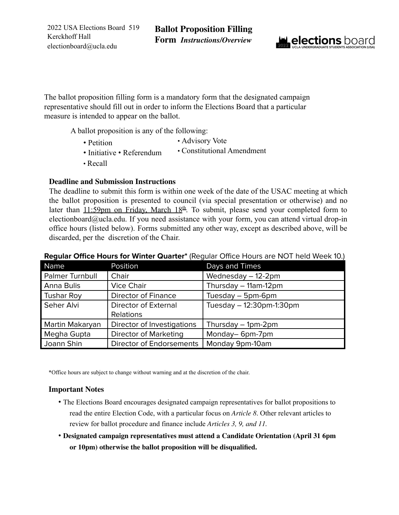2022 USA Elections Board 519 Kerckhoff Hall electionboard@ucla.edu



The ballot proposition filling form is a mandatory form that the designated campaign representative should fill out in order to inform the Elections Board that a particular measure is intended to appear on the ballot.

A ballot proposition is any of the following:

- Petition • Advisory Vote
- Initiative Referendum • Constitutional Amendment
- Recall

### **Deadline and Submission Instructions**

The deadline to submit this form is within one week of the date of the USAC meeting at which the ballot proposition is presented to council (via special presentation or otherwise) and no later than  $11:59$ pm on Friday, March  $18<sup>th</sup>$ . To submit, please send your completed form to electionboard@ucla.edu. If you need assistance with your form, you can attend virtual drop-in office hours (listed below). Forms submitted any other way, except as described above, will be discarded, per the discretion of the Chair.

| Name            | Position                        | Days and Times           |  |  |  |
|-----------------|---------------------------------|--------------------------|--|--|--|
| Palmer Turnbull | Chair                           | Wednesday - 12-2pm       |  |  |  |
| Anna Bulis      | <b>Vice Chair</b>               | Thursday - 11am-12pm     |  |  |  |
| Tushar Roy      | <b>Director of Finance</b>      | Tuesday - 5pm-6pm        |  |  |  |
| Seher Alvi      | Director of External            | Tuesday - 12:30pm-1:30pm |  |  |  |
|                 | Relations                       |                          |  |  |  |
| Martin Makaryan | Director of Investigations      | Thursday - 1pm-2pm       |  |  |  |
| Megha Gupta     | <b>Director of Marketing</b>    | Monday-6pm-7pm           |  |  |  |
| Joann Shin      | <b>Director of Endorsements</b> | Monday 9pm-10am          |  |  |  |

### **Regular Office Hours for Winter Quarter\*** (Regular Office Hours are NOT held Week 10.)

\*Office hours are subject to change without warning and at the discretion of the chair.

### **Important Notes**

- The Elections Board encourages designated campaign representatives for ballot propositions to read the entire Election Code, with a particular focus on *Article 8*. Other relevant articles to review for ballot procedure and finance include *Articles 3, 9, and 11.*
- **Designated campaign representatives must attend a Candidate Orientation (April 31 6pm or 10pm) otherwise the ballot proposition will be disqualified.**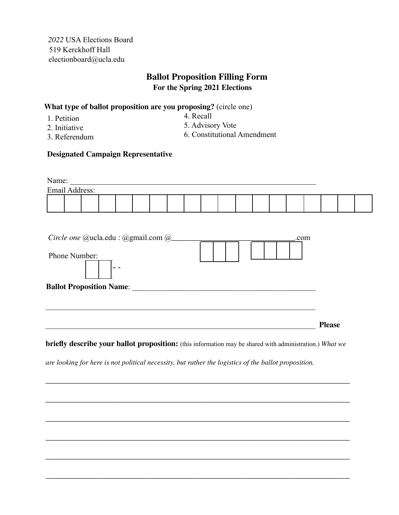*2022* USA Elections Board 519 Kerckhoff Hall electionboard@ucla.edu

# **Ballot Proposition Filling Form For the Spring 2021 Elections**

### **What type of ballot proposition are you proposing?** (circle one)

1. Petition

4. Recall

2. Initiative

5. Advisory Vote

3. Referendum

6. Constitutional Amendment

#### **Designated Campaign Representative**

| Name:          |  |  |  |  |  |  |  |  |  |  |  |  |  |
|----------------|--|--|--|--|--|--|--|--|--|--|--|--|--|
| Email Address: |  |  |  |  |  |  |  |  |  |  |  |  |  |
|                |  |  |  |  |  |  |  |  |  |  |  |  |  |
|                |  |  |  |  |  |  |  |  |  |  |  |  |  |

| Circle one @ucla.edu : @gmail.com @ | .com |               |
|-------------------------------------|------|---------------|
| Phone Number:                       |      |               |
|                                     |      |               |
| <b>Ballot Proposition Name:</b>     |      |               |
|                                     |      |               |
|                                     |      |               |
|                                     |      | <b>Please</b> |

**briefly describe your ballot proposition:** (this information may be shared with administration.) *What we*

\_\_\_\_\_\_\_\_\_\_\_\_\_\_\_\_\_\_\_\_\_\_\_\_\_\_\_\_\_\_\_\_\_\_\_\_\_\_\_\_\_\_\_\_\_\_\_\_\_\_\_\_\_\_\_\_\_\_\_\_\_\_\_\_\_\_\_\_\_

\_\_\_\_\_\_\_\_\_\_\_\_\_\_\_\_\_\_\_\_\_\_\_\_\_\_\_\_\_\_\_\_\_\_\_\_\_\_\_\_\_\_\_\_\_\_\_\_\_\_\_\_\_\_\_\_\_\_\_\_\_\_\_\_\_\_\_\_\_

\_\_\_\_\_\_\_\_\_\_\_\_\_\_\_\_\_\_\_\_\_\_\_\_\_\_\_\_\_\_\_\_\_\_\_\_\_\_\_\_\_\_\_\_\_\_\_\_\_\_\_\_\_\_\_\_\_\_\_\_\_\_\_\_\_\_\_\_\_

\_\_\_\_\_\_\_\_\_\_\_\_\_\_\_\_\_\_\_\_\_\_\_\_\_\_\_\_\_\_\_\_\_\_\_\_\_\_\_\_\_\_\_\_\_\_\_\_\_\_\_\_\_\_\_\_\_\_\_\_\_\_\_\_\_\_\_\_\_

\_\_\_\_\_\_\_\_\_\_\_\_\_\_\_\_\_\_\_\_\_\_\_\_\_\_\_\_\_\_\_\_\_\_\_\_\_\_\_\_\_\_\_\_\_\_\_\_\_\_\_\_\_\_\_\_\_\_\_\_\_\_\_\_\_\_\_\_\_

\_\_\_\_\_\_\_\_\_\_\_\_\_\_\_\_\_\_\_\_\_\_\_\_\_\_\_\_\_\_\_\_\_\_\_\_\_\_\_\_\_\_\_\_\_\_\_\_\_\_\_\_\_\_\_\_\_\_\_\_\_\_\_\_\_\_\_\_\_

*are looking for here is not political necessity, but rather the logistics of the ballot proposition.*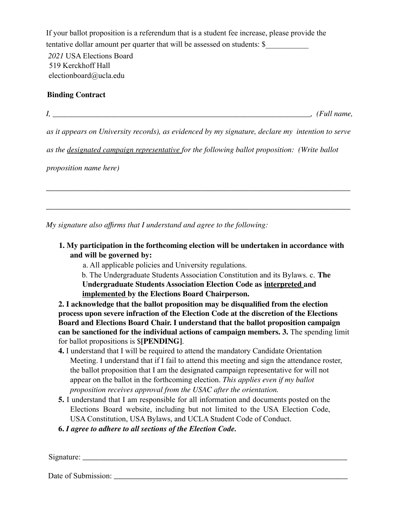If your ballot proposition is a referendum that is a student fee increase, please provide the tentative dollar amount per quarter that will be assessed on students: \$ *2021* USA Elections Board 519 Kerckhoff Hall electionboard@ucla.edu

## **Binding Contract**

*I*,  $\Box$ 

*as it appears on University records), as evidenced by my signature, declare my intention to serve*

\_\_\_\_\_\_\_\_\_\_\_\_\_\_\_\_\_\_\_\_\_\_\_\_\_\_\_\_\_\_\_\_\_\_\_\_\_\_\_\_\_\_\_\_\_\_\_\_\_\_\_\_\_\_\_\_\_\_\_\_\_\_\_\_\_\_\_\_\_

\_\_\_\_\_\_\_\_\_\_\_\_\_\_\_\_\_\_\_\_\_\_\_\_\_\_\_\_\_\_\_\_\_\_\_\_\_\_\_\_\_\_\_\_\_\_\_\_\_\_\_\_\_\_\_\_\_\_\_\_\_\_\_\_\_\_\_\_\_

*as the designated campaign representative for the following ballot proposition: (Write ballot*

*proposition name here)*

*My signature also affirms that I understand and agree to the following:*

- **1. My participation in the forthcoming election will be undertaken in accordance with and will be governed by:**
	- a. All applicable policies and University regulations.

b. The Undergraduate Students Association Constitution and its Bylaws. c. **The Undergraduate Students Association Election Code as interpreted and implemented by the Elections Board Chairperson.**

**2. I acknowledge that the ballot proposition may be disqualified from the election process upon severe infraction of the Election Code at the discretion of the Elections Board and Elections Board Chair. I understand that the ballot proposition campaign can be sanctioned for the individual actions of campaign members. 3.** The spending limit for ballot propositions is \$**[PENDING]**.

- **4.** I understand that I will be required to attend the mandatory Candidate Orientation Meeting. I understand that if I fail to attend this meeting and sign the attendance roster, the ballot proposition that I am the designated campaign representative for will not appear on the ballot in the forthcoming election. *This applies even if my ballot proposition receives approval from the USAC after the orientation.*
- **5.** I understand that I am responsible for all information and documents posted on the Elections Board website, including but not limited to the USA Election Code, USA Constitution, USA Bylaws, and UCLA Student Code of Conduct.
- **6.** *I agree to adhere to all sections of the Election Code.*

Signature:

Date of Submission: \_\_\_\_\_\_\_\_\_\_\_\_\_\_\_\_\_\_\_\_\_\_\_\_\_\_\_\_\_\_\_\_\_\_\_\_\_\_\_\_\_\_\_\_\_\_\_\_\_\_\_\_\_